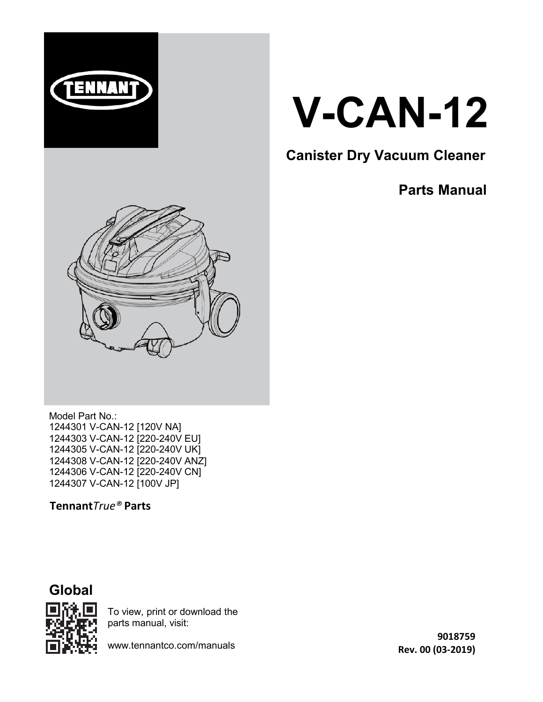



## **Canister Dry Vacuum Cleaner**

## **Parts Manual**



Model Part No.: 1244301 V-CAN-12 [120V NA] 1244303 V-CAN-12 [220-240V EU] 1244305 V-CAN-12 [220-240V UK] 1244308 V-CAN-12 [220-240V ANZ] 1244306 V-CAN-12 [220-240V CN] 1244307 V-CAN-12 [100V JP]

**Tennant***True®* **Parts**





To view, print or download the parts manual, visit:

www.tennantco.com/manuals

**9018759 Rev. 00 (03‐2019)**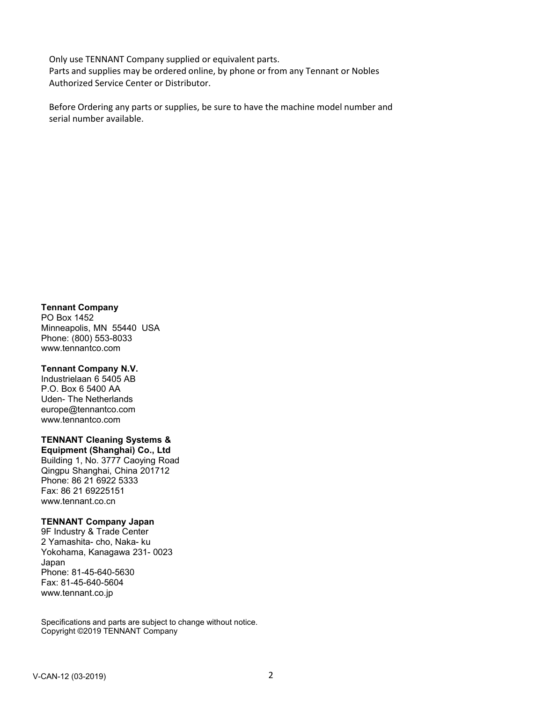Only use TENNANT Company supplied or equivalent parts. Parts and supplies may be ordered online, by phone or from any Tennant or Nobles Authorized Service Center or Distributor.

Before Ordering any parts or supplies, be sure to have the machine model number and serial number available.

**Tennant Company**

PO Box 1452 Minneapolis, MN 55440 USA Phone: (800) 553-8033 www.tennantco.com

#### **Tennant Company N.V.**

Industrielaan 6 5405 AB P.O. Box 6 5400 AA Uden- The Netherlands europe@tennantco.com www.tennantco.com

#### **TENNANT Cleaning Systems &**

**Equipment (Shanghai) Co., Ltd** Building 1, No. 3777 Caoying Road Qingpu Shanghai, China 201712 Phone: 86 21 6922 5333 Fax: 86 21 69225151 www.tennant.co.cn

#### **TENNANT Company Japan**

9F Industry & Trade Center 2 Yamashita- cho, Naka- ku Yokohama, Kanagawa 231- 0023 Japan Phone: 81-45-640-5630 Fax: 81-45-640-5604 www.tennant.co.jp

Specifications and parts are subject to change without notice. Copyright ©2019 TENNANT Company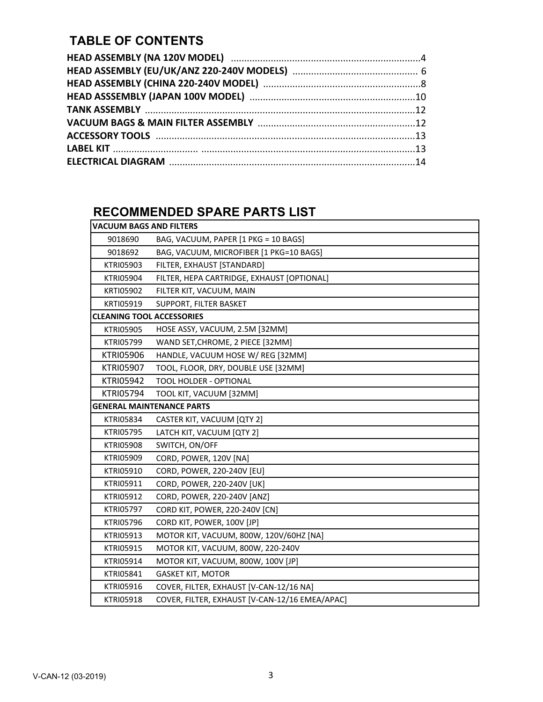#### **TABLE OF CONTENTS**

#### **RECOMMENDED SPARE PARTS LIST**

| <b>VACUUM BAGS AND FILTERS</b>   |                                                |  |  |
|----------------------------------|------------------------------------------------|--|--|
| 9018690                          | BAG, VACUUM, PAPER [1 PKG = 10 BAGS]           |  |  |
| 9018692                          | BAG, VACUUM, MICROFIBER [1 PKG=10 BAGS]        |  |  |
| <b>KTRI05903</b>                 | FILTER, EXHAUST [STANDARD]                     |  |  |
| <b>KTRI05904</b>                 | FILTER, HEPA CARTRIDGE, EXHAUST [OPTIONAL]     |  |  |
| KRTI05902                        | FILTER KIT, VACUUM, MAIN                       |  |  |
| KRTI05919                        | SUPPORT, FILTER BASKET                         |  |  |
| <b>CLEANING TOOL ACCESSORIES</b> |                                                |  |  |
| <b>KTRI05905</b>                 | HOSE ASSY, VACUUM, 2.5M [32MM]                 |  |  |
| KTRI05799                        | WAND SET, CHROME, 2 PIECE [32MM]               |  |  |
| <b>KTRI05906</b>                 | HANDLE, VACUUM HOSE W/ REG [32MM]              |  |  |
| <b>KTRI05907</b>                 | TOOL, FLOOR, DRY, DOUBLE USE [32MM]            |  |  |
| <b>KTRI05942</b>                 | <b>TOOL HOLDER - OPTIONAL</b>                  |  |  |
| <b>KTRI05794</b>                 | TOOL KIT, VACUUM [32MM]                        |  |  |
|                                  | <b>GENERAL MAINTENANCE PARTS</b>               |  |  |
| <b>KTRI05834</b>                 | CASTER KIT, VACUUM [QTY 2]                     |  |  |
| <b>KTRI05795</b>                 | LATCH KIT, VACUUM [QTY 2]                      |  |  |
| <b>KTRI05908</b>                 | SWITCH, ON/OFF                                 |  |  |
| <b>KTRI05909</b>                 | CORD, POWER, 120V [NA]                         |  |  |
| KTRI05910                        | CORD, POWER, 220-240V [EU]                     |  |  |
| KTRI05911                        | CORD, POWER, 220-240V [UK]                     |  |  |
| KTRI05912                        | CORD, POWER, 220-240V [ANZ]                    |  |  |
| <b>KTRI05797</b>                 | CORD KIT, POWER, 220-240V [CN]                 |  |  |
| <b>KTRI05796</b>                 | CORD KIT, POWER, 100V [JP]                     |  |  |
| <b>KTRI05913</b>                 | MOTOR KIT, VACUUM, 800W, 120V/60HZ [NA]        |  |  |
| KTRI05915                        | MOTOR KIT, VACUUM, 800W, 220-240V              |  |  |
| <b>KTRI05914</b>                 | MOTOR KIT, VACUUM, 800W, 100V [JP]             |  |  |
| KTRI05841                        | <b>GASKET KIT, MOTOR</b>                       |  |  |
| <b>KTRI05916</b>                 | COVER, FILTER, EXHAUST [V-CAN-12/16 NA]        |  |  |
| <b>KTRI05918</b>                 | COVER, FILTER, EXHAUST [V-CAN-12/16 EMEA/APAC] |  |  |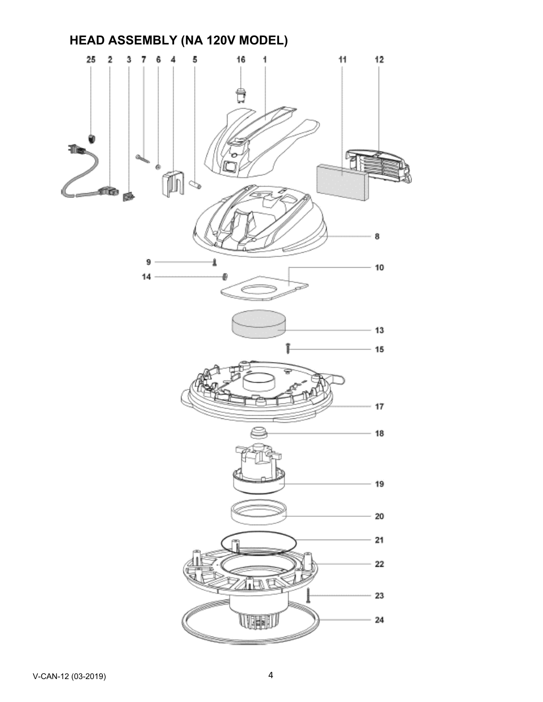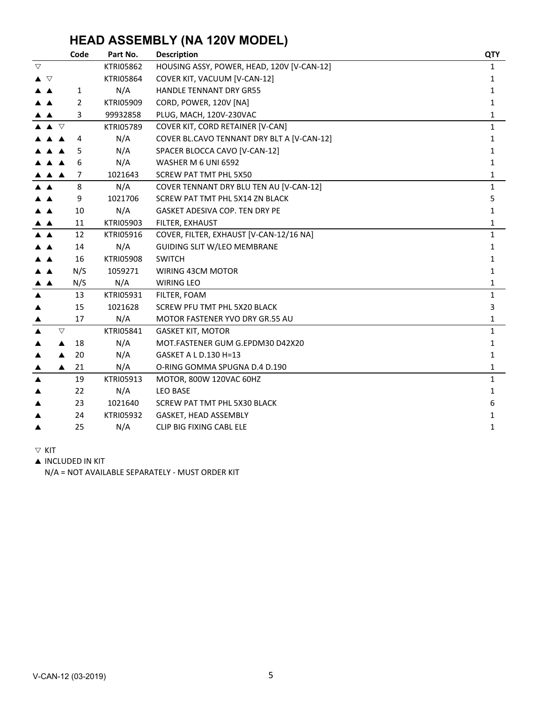#### **HEAD ASSEMBLY (NA 120V MODEL)**

|          | Code                             | Part No.         | <b>Description</b>                         | <b>QTY</b>   |
|----------|----------------------------------|------------------|--------------------------------------------|--------------|
| $\nabla$ |                                  | <b>KTRI05862</b> | HOUSING ASSY, POWER, HEAD, 120V [V-CAN-12] | 1            |
| ▲ ▽      |                                  | <b>KTRI05864</b> | COVER KIT, VACUUM [V-CAN-12]               | 1            |
|          | 1                                | N/A              | <b>HANDLE TENNANT DRY GR55</b>             | 1            |
|          | $\overline{2}$                   | <b>KTRI05909</b> | CORD, POWER, 120V [NA]                     | 1            |
|          | 3                                | 99932858         | PLUG, MACH, 120V-230VAC                    | 1            |
|          | $\blacktriangle$ $\triangledown$ | <b>KTRI05789</b> | COVER KIT, CORD RETAINER [V-CAN]           | $\mathbf{1}$ |
|          | 4                                | N/A              | COVER BL.CAVO TENNANT DRY BLT A [V-CAN-12] | 1            |
|          | 5<br>▲                           | N/A              | SPACER BLOCCA CAVO [V-CAN-12]              | 1            |
|          | 6<br>▲                           | N/A              | WASHER M 6 UNI 6592                        | 1            |
|          | 7<br>▲                           | 1021643          | <b>SCREW PAT TMT PHL 5X50</b>              | 1            |
|          | 8                                | N/A              | COVER TENNANT DRY BLU TEN AU [V-CAN-12]    | $\mathbf{1}$ |
|          | 9                                | 1021706          | SCREW PAT TMT PHL 5X14 ZN BLACK            | 5            |
|          | 10                               | N/A              | GASKET ADESIVA COP. TEN DRY PE             | 1            |
| ▲        | 11                               | KTRI05903        | FILTER, EXHAUST                            | 1            |
| A A      | 12                               | <b>KTRI05916</b> | COVER, FILTER, EXHAUST [V-CAN-12/16 NA]    | $\mathbf{1}$ |
|          | 14                               | N/A              | GUIDING SLIT W/LEO MEMBRANE                | 1            |
|          | 16                               | <b>KTRI05908</b> | <b>SWITCH</b>                              | 1            |
|          | N/S                              | 1059271          | WIRING 43CM MOTOR                          | 1            |
| ▲        | N/S                              | N/A              | <b>WIRING LEO</b>                          | 1            |
|          | 13                               | KTRI05931        | FILTER, FOAM                               | $\mathbf{1}$ |
|          | 15                               | 1021628          | SCREW PFU TMT PHL 5X20 BLACK               | $\mathbf{3}$ |
|          | 17                               | N/A              | MOTOR FASTENER YVO DRY GR.55 AU            | 1            |
|          | $\triangledown$                  | KTRI05841        | <b>GASKET KIT, MOTOR</b>                   | $\mathbf{1}$ |
|          | 18                               | N/A              | MOT.FASTENER GUM G.EPDM30 D42X20           | 1            |
|          | 20                               | N/A              | GASKET A L D.130 H=13                      | 1            |
|          | 21<br>▲                          | N/A              | O-RING GOMMA SPUGNA D.4 D.190              | 1            |
| ▲        | 19                               | KTRI05913        | MOTOR, 800W 120VAC 60HZ                    | $\mathbf{1}$ |
|          | 22                               | N/A              | <b>LEO BASE</b>                            | 1            |
|          | 23                               | 1021640          | SCREW PAT TMT PHL 5X30 BLACK               | 6            |
|          | 24                               | <b>KTRI05932</b> | GASKET, HEAD ASSEMBLY                      | 1            |
|          | 25                               | N/A              | CLIP BIG FIXING CABL ELE                   | 1            |

 $\nabla$  KIT

 $\blacktriangle$  INCLUDED IN KIT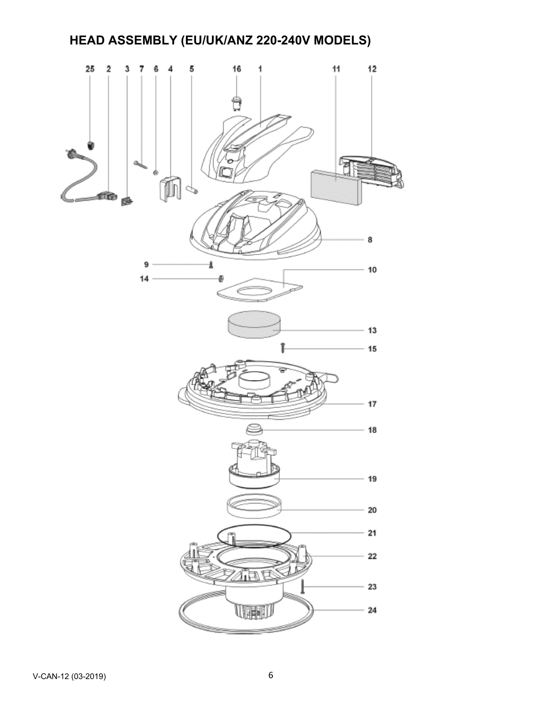# **HEAD ASSEMBLY (EU/UK/ANZ 220-240V MODELS)**

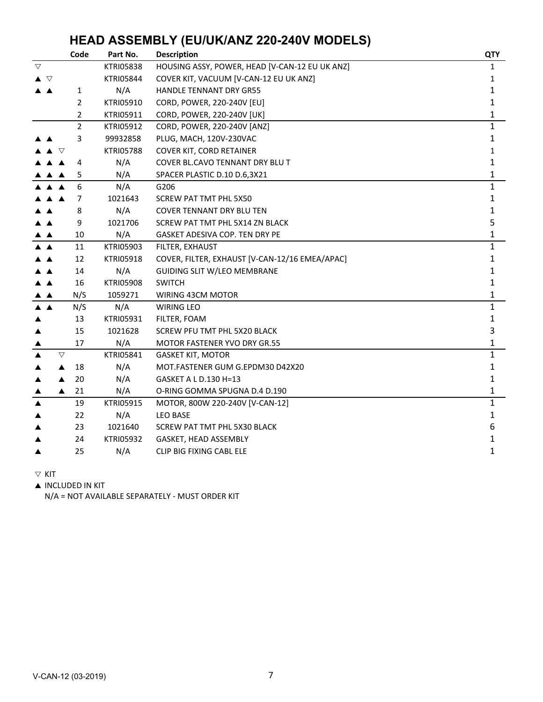#### **HEAD ASSEMBLY (EU/UK/ANZ 220-240V MODELS)**

|                 | Code               | Part No.         | <b>Description</b>                             | <b>QTY</b>   |
|-----------------|--------------------|------------------|------------------------------------------------|--------------|
| $\triangledown$ |                    | <b>KTRI05838</b> | HOUSING ASSY, POWER, HEAD [V-CAN-12 EU UK ANZ] | 1            |
| ▲ ▽             |                    | <b>KTRI05844</b> | COVER KIT, VACUUM [V-CAN-12 EU UK ANZ]         | 1            |
|                 | 1                  | N/A              | <b>HANDLE TENNANT DRY GR55</b>                 | 1            |
|                 | $\overline{2}$     | <b>KTRI05910</b> | CORD, POWER, 220-240V [EU]                     | 1            |
|                 | 2                  | <b>KTRI05911</b> | CORD, POWER, 220-240V [UK]                     | 1            |
|                 | $\overline{2}$     | KTRI05912        | CORD, POWER, 220-240V [ANZ]                    | $\mathbf{1}$ |
|                 | 3                  | 99932858         | PLUG, MACH, 120V-230VAC                        | $\mathbf{1}$ |
|                 | ▽                  | <b>KTRI05788</b> | <b>COVER KIT, CORD RETAINER</b>                | 1            |
|                 | 4                  | N/A              | COVER BL.CAVO TENNANT DRY BLU T                | 1            |
|                 | 5<br>▲             | N/A              | SPACER PLASTIC D.10 D.6,3X21                   | $\mathbf{1}$ |
|                 | 6                  | N/A              | G206                                           | 1            |
|                 | 7                  | 1021643          | <b>SCREW PAT TMT PHL 5X50</b>                  | 1            |
|                 | 8                  | N/A              | <b>COVER TENNANT DRY BLU TEN</b>               | 1            |
|                 | 9                  | 1021706          | SCREW PAT TMT PHL 5X14 ZN BLACK                | 5            |
|                 | 10                 | N/A              | GASKET ADESIVA COP. TEN DRY PE                 | 1            |
|                 | 11                 | KTRI05903        | FILTER, EXHAUST                                | $\mathbf{1}$ |
|                 | 12                 | KTRI05918        | COVER, FILTER, EXHAUST [V-CAN-12/16 EMEA/APAC] | 1            |
|                 | 14                 | N/A              | <b>GUIDING SLIT W/LEO MEMBRANE</b>             | 1            |
|                 | 16                 | <b>KTRI05908</b> | <b>SWITCH</b>                                  | 1            |
|                 | N/S                | 1059271          | WIRING 43CM MOTOR                              | 1            |
| ▲▲              | N/S                | N/A              | WIRING LEO                                     | $\mathbf{1}$ |
|                 | 13                 | KTRI05931        | FILTER, FOAM                                   | 1            |
| ▲               | 15                 | 1021628          | SCREW PFU TMT PHL 5X20 BLACK                   | 3            |
|                 | 17                 | N/A              | MOTOR FASTENER YVO DRY GR.55                   | 1            |
|                 | $\bigtriangledown$ | KTRI05841        | <b>GASKET KIT, MOTOR</b>                       | $\mathbf{1}$ |
|                 | 18<br>▲            | N/A              | MOT.FASTENER GUM G.EPDM30 D42X20               | $\mathbf{1}$ |
|                 | 20                 | N/A              | GASKET A L D.130 H=13                          | 1            |
|                 | 21<br>▲            | N/A              | O-RING GOMMA SPUGNA D.4 D.190                  | 1            |
|                 | 19                 | <b>KTRI05915</b> | MOTOR, 800W 220-240V [V-CAN-12]                | $\mathbf{1}$ |
|                 | 22                 | N/A              | <b>LEO BASE</b>                                | $\mathbf{1}$ |
|                 | 23                 | 1021640          | SCREW PAT TMT PHL 5X30 BLACK                   | 6            |
|                 | 24                 | KTRI05932        | GASKET, HEAD ASSEMBLY                          | 1            |
|                 | 25                 | N/A              | CLIP BIG FIXING CABL ELE                       | 1            |

 $\nabla$  KIT

**A INCLUDED IN KIT**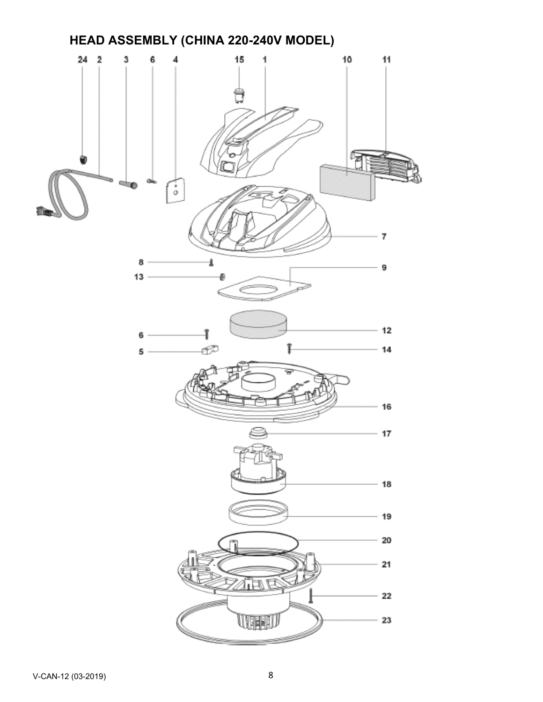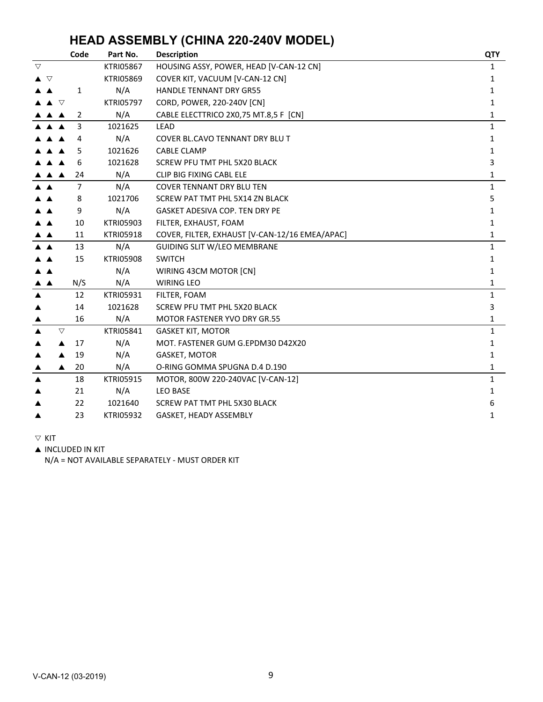## **HEAD ASSEMBLY (CHINA 220-240V MODEL)**

|                 | Code            | Part No.         | <b>Description</b>                             | <b>QTY</b>   |
|-----------------|-----------------|------------------|------------------------------------------------|--------------|
| $\triangledown$ |                 | <b>KTRI05867</b> | HOUSING ASSY, POWER, HEAD [V-CAN-12 CN]        | 1            |
| ▲ ▽             |                 | <b>KTRI05869</b> | COVER KIT, VACUUM [V-CAN-12 CN]                | 1            |
|                 | 1               | N/A              | HANDLE TENNANT DRY GR55                        | 1            |
|                 | $\triangledown$ | <b>KTRI05797</b> | CORD, POWER, 220-240V [CN]                     | 1            |
|                 | 2<br>▲          | N/A              | CABLE ELECTTRICO 2X0,75 MT.8,5 F [CN]          | 1            |
|                 | 3               | 1021625          | <b>LEAD</b>                                    | $\mathbf{1}$ |
|                 | 4               | N/A              | <b>COVER BL.CAVO TENNANT DRY BLU T</b>         | 1            |
|                 | 5               | 1021626          | <b>CABLE CLAMP</b>                             | 1            |
|                 | 6               | 1021628          | SCREW PFU TMT PHL 5X20 BLACK                   | 3            |
|                 | 24              | N/A              | <b>CLIP BIG FIXING CABL ELE</b>                | 1            |
|                 | $\overline{7}$  | N/A              | <b>COVER TENNANT DRY BLU TEN</b>               | $\mathbf{1}$ |
|                 | 8               | 1021706          | SCREW PAT TMT PHL 5X14 ZN BLACK                | 5            |
|                 | 9               | N/A              | <b>GASKET ADESIVA COP. TEN DRY PE</b>          | 1            |
|                 | 10              | <b>KTRI05903</b> | FILTER, EXHAUST, FOAM                          | 1            |
|                 | 11              | <b>KTRI05918</b> | COVER, FILTER, EXHAUST [V-CAN-12/16 EMEA/APAC] | 1            |
|                 | 13              | N/A              | GUIDING SLIT W/LEO MEMBRANE                    | $\mathbf{1}$ |
|                 | 15              | <b>KTRI05908</b> | <b>SWITCH</b>                                  | $\mathbf{1}$ |
|                 |                 | N/A              | WIRING 43CM MOTOR [CN]                         | 1            |
|                 | N/S             | N/A              | <b>WIRING LEO</b>                              | 1            |
|                 | 12              | KTRI05931        | FILTER, FOAM                                   | 1            |
|                 | 14              | 1021628          | SCREW PFU TMT PHL 5X20 BLACK                   | 3            |
|                 | 16              | N/A              | MOTOR FASTENER YVO DRY GR.55                   | 1            |
|                 | $\triangledown$ | KTRI05841        | <b>GASKET KIT, MOTOR</b>                       | $\mathbf{1}$ |
|                 | 17              | N/A              | MOT. FASTENER GUM G.EPDM30 D42X20              | 1            |
|                 | 19              | N/A              | GASKET, MOTOR                                  | 1            |
|                 | 20<br>▲         | N/A              | O-RING GOMMA SPUGNA D.4 D.190                  | 1            |
|                 | 18              | <b>KTRI05915</b> | MOTOR, 800W 220-240VAC [V-CAN-12]              | $\mathbf{1}$ |
|                 | 21              | N/A              | <b>LEO BASE</b>                                | 1            |
|                 | 22              | 1021640          | SCREW PAT TMT PHL 5X30 BLACK                   | 6            |
|                 | 23              | <b>KTRI05932</b> | GASKET, HEADY ASSEMBLY                         | 1            |

 $\nabla$  KIT

**A INCLUDED IN KIT**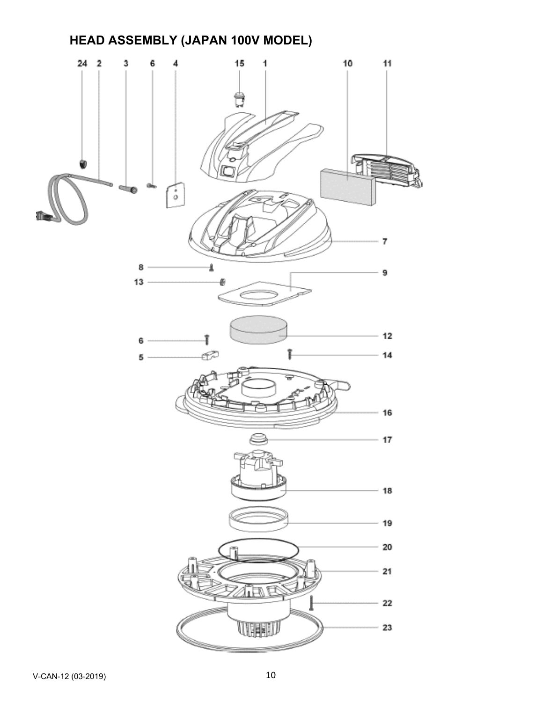## **HEAD ASSEMBLY (JAPAN 100V MODEL)**

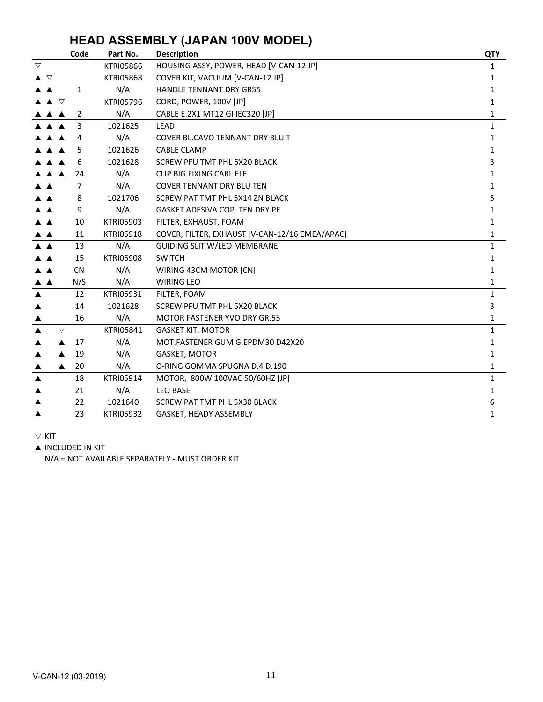## **HEAD ASSEMBLY (JAPAN 100V MODEL)**

|                  | Code               | Part No.         | <b>Description</b>                             | <b>QTY</b>   |
|------------------|--------------------|------------------|------------------------------------------------|--------------|
| $\triangledown$  |                    | <b>KTRI05866</b> | HOUSING ASSY, POWER, HEAD [V-CAN-12 JP]        | $\mathbf{1}$ |
| ▲ ▽              |                    | <b>KTRI05868</b> | COVER KIT, VACUUM [V-CAN-12 JP]                | 1            |
|                  | 1                  | N/A              | <b>HANDLE TENNANT DRY GR55</b>                 | 1            |
| $\triangledown$  |                    | <b>KTRI05796</b> | CORD, POWER, 100V [JP]                         | 1            |
| A A              | 2                  | N/A              | CABLE E.2X1 MT12 GI IEC320 [JP]                | 1            |
|                  | 3                  | 1021625          | LEAD                                           | $\mathbf{1}$ |
|                  | 4                  | N/A              | COVER BL.CAVO TENNANT DRY BLU T                | 1            |
|                  | 5                  | 1021626          | <b>CABLE CLAMP</b>                             | 1            |
|                  | 6                  | 1021628          | SCREW PFU TMT PHL 5X20 BLACK                   | 3            |
| <b>A</b> A       | 24                 | N/A              | CLIP BIG FIXING CABL ELE                       | 1            |
|                  | $\overline{7}$     | N/A              | <b>COVER TENNANT DRY BLU TEN</b>               | $\mathbf{1}$ |
|                  | 8                  | 1021706          | SCREW PAT TMT PHL 5X14 ZN BLACK                | 5            |
|                  | 9                  | N/A              | <b>GASKET ADESIVA COP. TEN DRY PE</b>          | 1            |
|                  | 10                 | <b>KTRI05903</b> | FILTER, EXHAUST, FOAM                          | 1            |
|                  | 11                 | <b>KTRI05918</b> | COVER, FILTER, EXHAUST [V-CAN-12/16 EMEA/APAC] | 1            |
|                  | 13                 | N/A              | <b>GUIDING SLIT W/LEO MEMBRANE</b>             | $\mathbf{1}$ |
|                  | 15                 | <b>KTRI05908</b> | <b>SWITCH</b>                                  | 1            |
|                  | <b>CN</b>          | N/A              | WIRING 43CM MOTOR [CN]                         | $\mathbf{1}$ |
| ▲                | N/S                | N/A              | <b>WIRING LEO</b>                              | 1            |
|                  | 12                 | KTRI05931        | FILTER, FOAM                                   | $\mathbf{1}$ |
|                  | 14                 | 1021628          | SCREW PFU TMT PHL 5X20 BLACK                   | 3            |
|                  | 16                 | N/A              | <b>MOTOR FASTENER YVO DRY GR.55</b>            | 1            |
|                  | $\bigtriangledown$ | <b>KTRI05841</b> | <b>GASKET KIT, MOTOR</b>                       | $\mathbf{1}$ |
|                  | 17                 | N/A              | MOT.FASTENER GUM G.EPDM30 D42X20               | $\mathbf{1}$ |
|                  | 19                 | N/A              | GASKET, MOTOR                                  | 1            |
|                  | 20<br>▲            | N/A              | O-RING GOMMA SPUGNA D.4 D.190                  | 1            |
| $\blacktriangle$ | 18                 | KTRI05914        | MOTOR, 800W 100VAC 50/60HZ [JP]                | $\mathbf{1}$ |
|                  | 21                 | N/A              | <b>LEO BASE</b>                                | $\mathbf{1}$ |
|                  | 22                 | 1021640          | SCREW PAT TMT PHL 5X30 BLACK                   | 6            |
|                  | 23                 | <b>KTRI05932</b> | GASKET, HEADY ASSEMBLY                         | 1            |

 $\triangledown$  kit

 $\blacktriangle$  INCLUDED IN KIT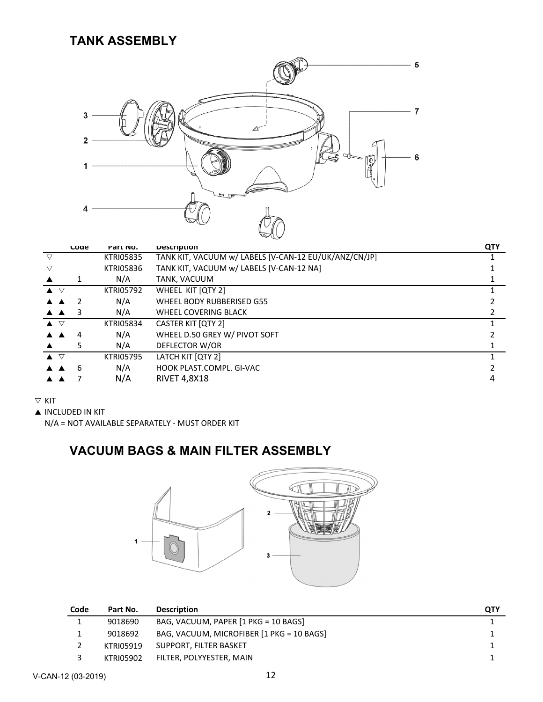#### **TANK ASSEMBLY**



|                                  | coae                      | Part NO.         | <b>Description</b>                                    | <b>QTY</b> |
|----------------------------------|---------------------------|------------------|-------------------------------------------------------|------------|
| ▽                                |                           | <b>KTRI05835</b> | TANK KIT, VACUUM w/ LABELS [V-CAN-12 EU/UK/ANZ/CN/JP] |            |
| ▽                                |                           | <b>KTRI05836</b> | TANK KIT, VACUUM w/ LABELS [V-CAN-12 NA]              |            |
|                                  |                           | N/A              | TANK, VACUUM                                          |            |
| $\blacktriangle$ $\triangledown$ |                           | <b>KTRI05792</b> | WHEEL KIT [QTY 2]                                     |            |
|                                  |                           | N/A              | WHEEL BODY RUBBERISED G55                             |            |
|                                  | $\triangle$ $\triangle$ 3 | N/A              | WHEEL COVERING BLACK                                  |            |
| $\blacktriangle$ $\triangledown$ |                           | <b>KTRI05834</b> | <b>CASTER KIT [QTY 2]</b>                             |            |
|                                  | 4                         | N/A              | WHEEL D.50 GREY W/ PIVOT SOFT                         |            |
|                                  | 5                         | N/A              | DEFLECTOR W/OR                                        |            |
| $\blacktriangle$ $\triangledown$ |                           | <b>KTRI05795</b> | LATCH KIT [QTY 2]                                     |            |
|                                  | 6                         | N/A              | HOOK PLAST.COMPL. GI-VAC                              |            |
|                                  |                           | N/A              | <b>RIVET 4,8X18</b>                                   | 4          |

#### $\nabla$  KIT

**A INCLUDED IN KIT** 

N/A = NOT AVAILABLE SEPARATELY ‐ MUST ORDER KIT

#### **VACUUM BAGS & MAIN FILTER ASSEMBLY**



| Code | Part No.  | <b>Description</b>                        | QTY |
|------|-----------|-------------------------------------------|-----|
|      | 9018690   | BAG, VACUUM, PAPER [1 PKG = 10 BAGS]      |     |
|      | 9018692   | BAG, VACUUM, MICROFIBER [1 PKG = 10 BAGS] |     |
|      | KTRI05919 | SUPPORT, FILTER BASKET                    |     |
|      | KTRI05902 | FILTER, POLYYESTER, MAIN                  |     |
|      |           |                                           |     |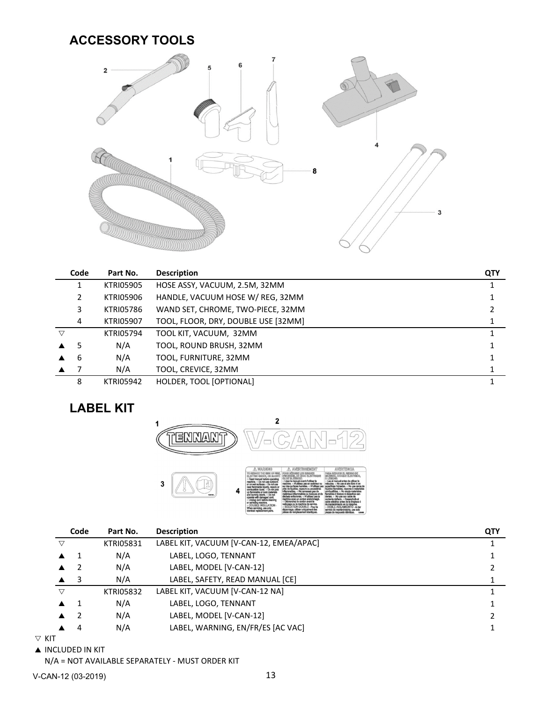#### **ACCESSORY TOOLS**



|   | Code | Part No.         | <b>Description</b>                  | QTY |
|---|------|------------------|-------------------------------------|-----|
|   |      | <b>KTRI05905</b> | HOSE ASSY, VACUUM, 2.5M, 32MM       |     |
|   | 2    | <b>KTRI05906</b> | HANDLE, VACUUM HOSE W/ REG, 32MM    |     |
|   | 3    | <b>KTRI05786</b> | WAND SET, CHROME, TWO-PIECE, 32MM   |     |
|   | 4    | <b>KTRI05907</b> | TOOL, FLOOR, DRY, DOUBLE USE [32MM] |     |
| ▽ |      | <b>KTRI05794</b> | TOOL KIT, VACUUM, 32MM              |     |
|   | 5    | N/A              | TOOL, ROUND BRUSH, 32MM             |     |
|   | 6    | N/A              | TOOL, FURNITURE, 32MM               |     |
|   |      | N/A              | TOOL, CREVICE, 32MM                 |     |
|   | 8    | <b>KTRI05942</b> | HOLDER, TOOL [OPTIONAL]             |     |

## **LABEL KIT**



|                 | Code | Part No.         | <b>Description</b>                      | QTY |
|-----------------|------|------------------|-----------------------------------------|-----|
| ▽               |      | <b>KTRI05831</b> | LABEL KIT, VACUUM [V-CAN-12, EMEA/APAC] |     |
|                 |      | N/A              | LABEL, LOGO, TENNANT                    |     |
|                 |      | N/A              | LABEL, MODEL [V-CAN-12]                 |     |
|                 | - 3  | N/A              | LABEL, SAFETY, READ MANUAL [CE]         |     |
| $\triangledown$ |      | <b>KTRI05832</b> | LABEL KIT, VACUUM [V-CAN-12 NA]         |     |
|                 |      | N/A              | LABEL, LOGO, TENNANT                    |     |
|                 |      | N/A              | LABEL, MODEL [V-CAN-12]                 |     |
|                 | 4    | N/A              | LABEL, WARNING, EN/FR/ES [AC VAC]       |     |
| ÷               |      |                  |                                         |     |

 $\nabla$  KIT

#### **A INCLUDED IN KIT**